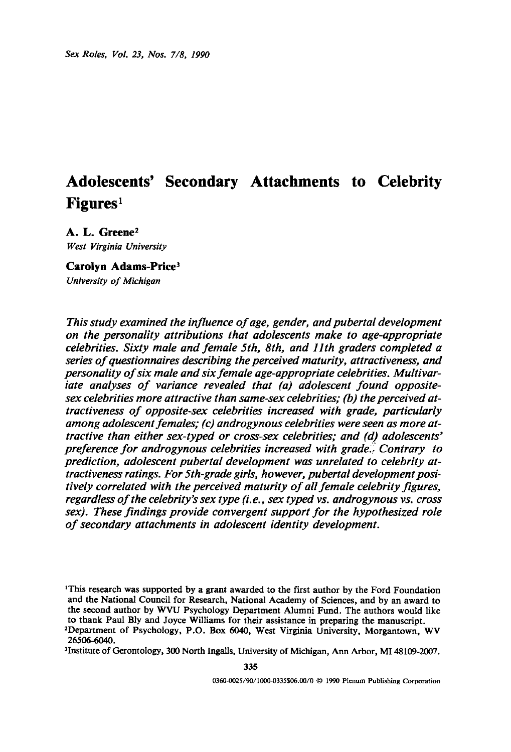# **Adolescents' Secondary Attachments to Celebrity Figures I**

A. L. Greene<sup>2</sup> *West Virginia University* 

Carolyn Adams-Price<sup>3</sup> *University of Michigan* 

*This study examined the influence of age, gender, and pubertal development on the personality attributions that adolescents make to age-appropriate celebrities. Sixty male and female 5th, 8th, and llth graders completed a series of questionnaires describing the perceived maturity, attractiveness, and personality of six male and six female age-appropriate celebrities. Multivariate analyses of variance revealed that (a) adolescent found oppositesex celebrities more attractive than same-sex celebrities; (b) the perceived attractiveness of opposite-sex celebrities increased with grade, particularly among adolescent females; (c) androgynous celebrities were seen as more attractive than either sex-typed or cross-sex celebrities; and (d) adolescents" preference for androgynous celebrities increased with grade.i: Contrary to prediction, adolescent pubertal development was unrelated to celebrity attractiveness ratings. For 5th-grade girls, however, pubertal development positively correlated with the perceived maturity of all female celebrity figures, regardless of the celebrity's sex type (i.e., sex typed vs. androgynous vs. cross sex). These findings provide convergent support for the hypothesized role of secondary attachments in adolescent identity development.* 

<sup>1</sup>This research was supported by a grant awarded to the first author by the Ford Foundation and the National Council for Research, National Academy of Sciences, and by an award to the second author by WVU Psychology Department Alumni Fund. The authors would like to thank Paul Bly and Joyce Williams for **their assistance in preparing** the manuscript.

<sup>2</sup>Department of Psychology, P.O. Box 6040, West Virginia University, Morgantown, WV 26506-6040.

sInstitute of Gerontology, 300 North Ingalls, University of Michigan, Ann Arbor, MI 48109-2007.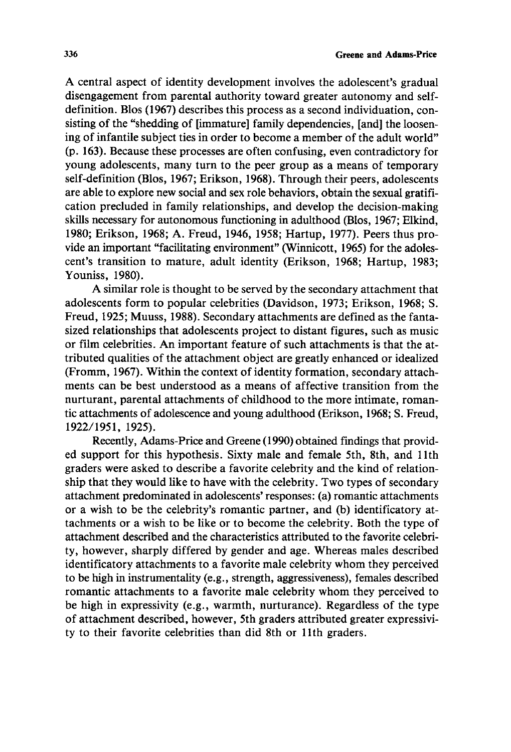A central aspect of identity development involves the adolescent's gradual disengagement from parental authority toward greater autonomy and selfdefinition. Blos (1967) describes this process as a second individuation, consisting of the "shedding of [immature] family dependencies, [and] the loosening of infantile subject ties in order to become a member of the adult world" (p. 163). Because these processes are often confusing, even contradictory for young adolescents, many turn to the peer group as a means of temporary self-definition (Blos, 1967; Erikson, 1968). Through their peers, adolescents are able to explore new social and sex role behaviors, obtain the sexual gratification precluded in family relationships, and develop the decision-making skills necessary for autonomous functioning in adulthood (Blos, 1967; Elkind, 1980; Erikson, 1968; A. Freud, 1946, 1958; Hartup, 1977). Peers thus provide an important "facilitating environment" (Winnicott, 1965) for the adolescent's transition to mature, adult identity (Erikson, 1968; Hartup, 1983; Youniss, 1980).

A similar role is thought to be served by the secondary attachment that adolescents form to popular celebrities (Davidson, 1973; Erikson, 1968; S. Freud, 1925; Muuss, 1988). Secondary attachments are defined as the fantasized relationships that adolescents project to distant figures, such as music or film celebrities. An important feature of such attachments is that the attributed qualities of the attachment object are greatly enhanced or idealized (Fromm, 1967). Within the context of identity formation, secondary attachments can be best understood as a means of affective transition from the nurturant, parental attachments of childhood to the more intimate, romantic attachments of adolescence and young adulthood (Erikson, 1968; S. Freud, 1922/1951, 1925).

Recently, Adams-Price and Greene (1990) obtained findings that provided support for this hypothesis. Sixty male and female 5th, 8th, and 1 lth graders were asked to describe a favorite celebrity and the kind of relationship that they would like to have with the celebrity. Two types of secondary attachment predominated in adolescents' responses: (a) romantic attachments or a wish to be the celebrity's romantic partner, and (b) identificatory attachments or a wish to be like or to become the celebrity. Both the type of attachment described and the characteristics attributed to the favorite celebrity, however, sharply differed by gender and age. Whereas males described identificatory attachments to a favorite male celebrity whom they perceived to be high in instrumentality (e.g., strength, aggressiveness), females described romantic attachments to a favorite male celebrity whom they perceived to be high in expressivity (e.g., warmth, nurturance). Regardless of the type of attachment described, however, 5th graders attributed greater expressivity to their favorite celebrities than did 8th or 1 lth graders.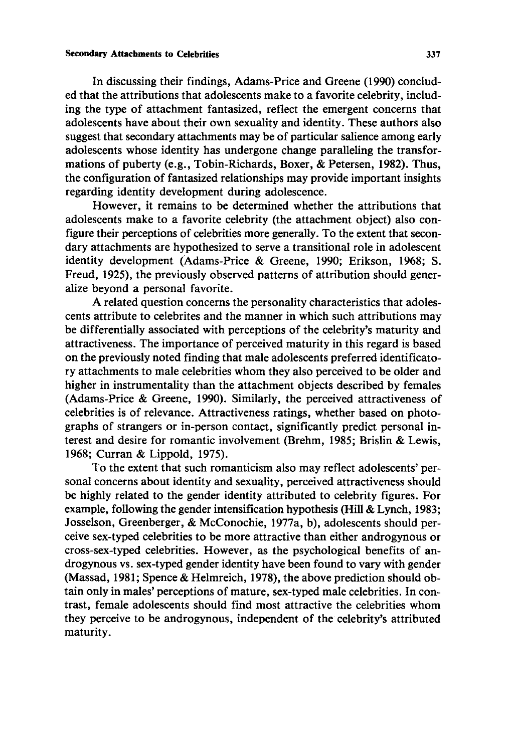In discussing their findings, Adams-Price and Greene (1990) concluded that the attributions that adolescents make to a favorite celebrity, including the type of attachment fantasized, reflect the emergent concerns that adolescents have about their own sexuality and identity. These authors also suggest that secondary attachments may be of particular salience among early adolescents whose identity has undergone change paralleling the transformations of puberty (e.g., Tobin-Richards, Boxer, & Petersen, 1982). Thus, the configuration of fantasized relationships may provide important insights regarding identity development during adolescence.

However, it remains to be determined whether the attributions that adolescents make to a favorite celebrity (the attachment object) also configure their perceptions of celebrities more generally. To the extent that secondary attachments are hypothesized to serve a transitional role in adolescent identity development (Adams-Price & Greene, 1990; Erikson, 1968; S. Freud, 1925), the previously observed patterns of attribution should generalize beyond a personal favorite.

A related question concerns the personality characteristics that adolescents attribute to celebrites and the manner in which such attributions may be differentially associated with perceptions of the celebrity's maturity and attractiveness. The importance of perceived maturity in this regard is based on the previously noted finding that male adolescents preferred identificatory attachments to male celebrities whom they also perceived to be older and higher in instrumentality than the attachment objects described by females (Adams-Price & Greene, 1990). Similarly, the perceived attractiveness of celebrities is of relevance. Attractiveness ratings, whether based on photographs of strangers or in-person contact, significantly predict personal interest and desire for romantic involvement (Brehm, 1985; Brislin & Lewis, 1968; Curran & Lippold, 1975).

To the extent that such romanticism also may reflect adolescents' personal concerns about identity and sexuality, perceived attractiveness should be highly related to the gender identity attributed to celebrity figures. For example, following the gender intensification hypothesis (Hill & Lynch, 1983; Josselson, Greenberger, & McConochie, 1977a, b), adolescents should perceive sex-typed celebrities to be more attractive than either androgynous or cross-sex-typed celebrities. However, as the psychological benefits of androgynous vs. sex-typed gender identity have been found to vary with gender (Massad, 1981; Spence & Helmreich, 1978), the above prediction should obtain only in males' perceptions of mature, sex-typed male celebrities. In contrast, female adolescents should find most attractive the celebrities whom they perceive to be androgynous, independent of the celebrity's attributed maturity.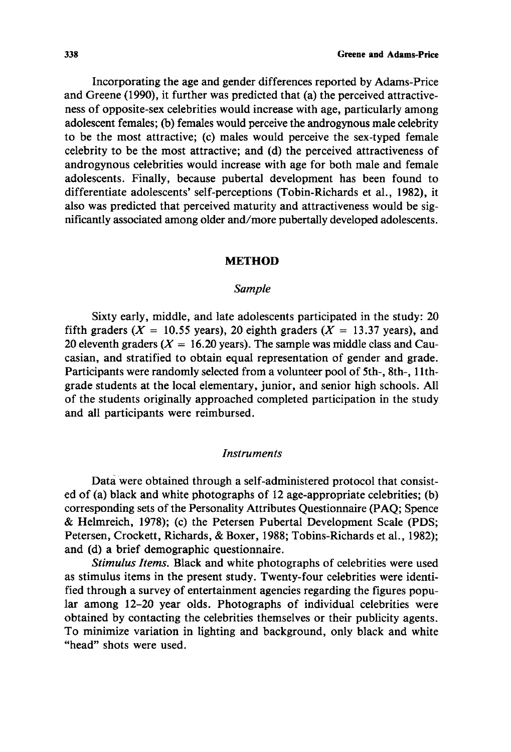Incorporating the age and gender differences reported by Adams-Price and Greene (1990), it further was predicted that (a) the perceived attractiveness of opposite-sex celebrities would increase with age, particularly among adolescent females; (b) females would perceive the androgynous male celebrity to be the most attractive; (c) males would perceive the sex-typed female celebrity to be the most attractive; and (d) the perceived attractiveness of androgynous celebrities would increase with age for both male and female adolescents. Finally, because pubertal development has been found to differentiate adolescents' self-perceptions (Tobin-Richards et al., 1982), it also was predicted that perceived maturity and attractiveness would be significantly associated among older and/more pubertally developed adolescents.

## **METHOD**

## *Sample*

Sixty early, middle, and late adolescents participated in the study: 20 fifth graders ( $X = 10.55$  years), 20 eighth graders ( $X = 13.37$  years), and 20 eleventh graders ( $X = 16.20$  years). The sample was middle class and Caucasian, and stratified to obtain equal representation of gender and grade. Participants were randomly selected from a volunteer pool of 5th-, 8th-, 1 lthgrade students at the local elementary, junior, and senior high schools. All of the students originally approached completed participation in the study and all participants were reimbursed.

#### *Instruments*

Data were obtained through a self-administered protocol that consisted of (a) black and white photographs of 12 age-appropriate celebrities; (b) corresponding sets of the Personality Attributes Questionnaire (PAQ; Spence & Helmreich, 1978); (c) the Petersen Pubertal Development Scale (PDS; Petersen, Crockett, Richards, & Boxer, 1988; Tobins-Richards et al., 1982); and (d) a brief demographic questionnaire.

*Stimulus Items.* Black and white photographs of celebrities were used as stimulus items in the present study. Twenty-four celebrities were identified through a survey of entertainment agencies regarding the figures popular among 12-20 year olds. Photographs of individual celebrities were obtained by contacting the celebrities themselves or their publicity agents. To minimize variation in lighting and background, only black and white "head" shots were used.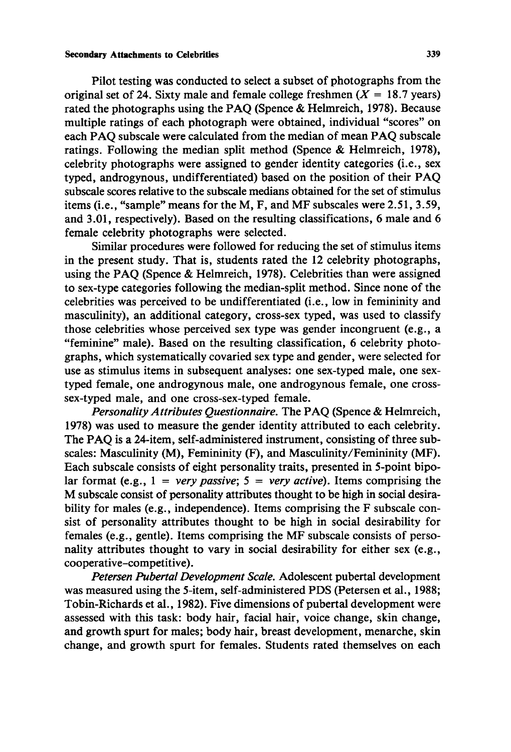## **Secondary Attachments to Celebrities 339**

Pilot testing was conducted to select a subset of photographs from the original set of 24. Sixty male and female college freshmen  $(X = 18.7 \text{ years})$ rated the photographs using the PAQ (Spence & Helmreich, 1978). Because multiple ratings of each photograph were obtained, individual "scores" on each PAQ subscale were calculated from the median of mean PAQ subscale ratings. Following the median split method (Spence & Helmreich, 1978), celebrity photographs were assigned to gender identity categories (i.e., sex typed, androgynous, undifferentiated) based on the position of their PAQ subscale scores relative to the subscale medians obtained for the set of stimulus items (i.e., "sample" means for the M, F, and MF subscales were 2.51, 3.59, and 3.01, respectively). Based on the resulting classifications, 6 male and 6 female celebrity photographs were selected.

Similar procedures were followed for reducing the set of stimulus items in the present study. That is, students rated the 12 celebrity photographs, using the PAQ (Spence & Helmreich, 1978). Celebrities than were assigned to sex-type categories following the median-split method. Since none of the celebrities was perceived to be undifferentiated (i.e., low in femininity and masculinity), an additional category, cross-sex typed, was used to classify those celebrities whose perceived sex type was gender incongruent (e.g., a "feminine" male). Based on the resulting classification, 6 celebrity photographs, which systematically covaried sex type and gender, were selected for use as stimulus items in subsequent analyses: one sex-typed male, one sextyped female, one androgynous male, one androgynous female, one crosssex-typed male, and one cross-sex-typed female.

*Personality Attributes Questionnaire.* The PAQ (Spence & Helmreich, 1978) was used to measure the gender identity attributed to each celebrity. The PAQ is a 24-item, self-administered instrument, consisting of three subscales: Masculinity (M), Femininity (F), and Masculinity/Femininity (MF). Each subscale consists of eight personality traits, presented in 5-point bipolar format (e.g.,  $1 = very passive$ ;  $5 = very active$ ). Items comprising the M subscale consist of personality attributes thought to be high in social desirability for males (e.g., independence). Items comprising the F subscale consist of personality attributes thought to be high in social desirability for females (e.g., gentle). Items comprising the MF subscale consists of personality attributes thought to vary in social desirability for either sex (e.g., cooperative-competitive).

*Petersen Pubertal Development Scale.* Adolescent pubertal development was measured using the 5-item, self-administered PDS (Petersen et ai., 1988; Tobin-Richards et al., 1982). Five dimensions of pubertal development were assessed with this task: body hair, facial hair, voice change, skin change, and growth spurt for males; body hair, breast development, menarche, skin change, and growth spurt for females. Students rated themselves on each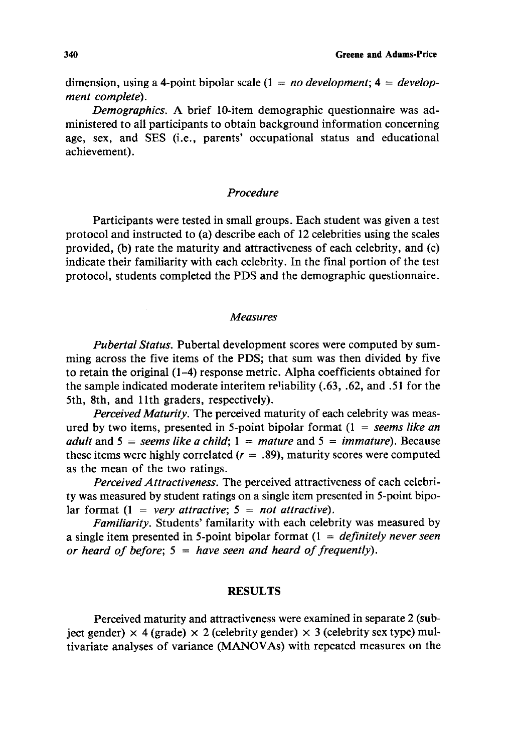dimension, using a 4-point bipolar scale (1 = *no development; 4 = development complete).* 

*Demographics.* A brief 10-item demographic questionnaire was administered to all participants to obtain background information concerning age, sex, and SES (i.e., parents' occupational status and educational achievement).

## *Procedure*

Participants were tested in small groups. Each student was given a test protocol and instructed to (a) describe each of 12 celebrities using the scales provided, (b) rate the maturity and attractiveness of each celebrity, and (c) indicate their familiarity with each celebrity. In the final portion of the test protocol, students completed the PDS and the demographic questionnaire.

#### *Measures*

*Pubertal Status.* Pubertal development scores were computed by summing across the five items of the PDS; that sum was then divided by five to retain the original (1-4) response metric. Alpha coefficients obtained for the sample indicated moderate interitem reliability  $(.63, .62,$  and  $.51$  for the 5th, 8th, and l lth graders, respectively).

*Perceived Maturity.* The perceived maturity of each celebrity was measured by two items, presented in 5-point bipolar format (1 = *seems like an adult* and  $5 =$  *seems like a child;*  $1 =$  *mature* and  $5 =$  *immature*). Because these items were highly correlated  $(r = .89)$ , maturity scores were computed as the mean of the two ratings.

*Perceived Attractiveness.* The perceived attractiveness of each celebrity was measured by student ratings on a single item presented in 5-point bipolar format  $(1 = very attractive; 5 = not attractive)$ .

*Familiarity.* Students' familarity with each celebrity was measured by a single item presented in 5-point bipolar format (1 = *definitely never seen or heard of before;*  $5 = \hbar \omega$  *have seen and heard of frequently*).

## RESULTS

Perceived maturity and attractiveness were examined in separate 2 (subject gender)  $\times$  4 (grade)  $\times$  2 (celebrity gender)  $\times$  3 (celebrity sex type) multivariate analyses of variance (MANOVAs) with repeated measures on the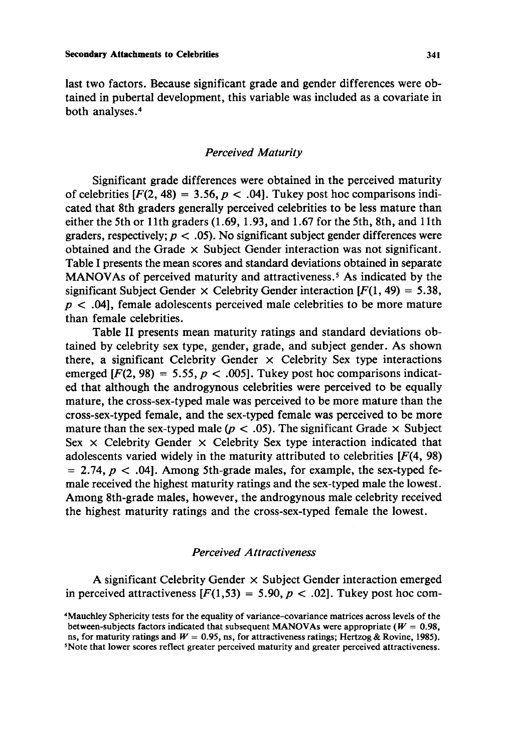last two factors. Because significant grade and gender differences were obtained in pubertal development, this variable was included as a covariate in both analyses. 4

## *Perceived Maturity*

Significant grade differences were obtained in the perceived maturity of celebrities  $[F(2, 48) = 3.56, p < .04]$ . Tukey post hoc comparisons indicated that 8th graders generally perceived celebrities to be less mature than either the 5th or 11th graders  $(1.69, 1.93, \text{ and } 1.67 \text{ for the 5th, 8th, and 11th})$ graders, respectively;  $p < .05$ ). No significant subject gender differences were obtained and the Grade  $\times$  Subject Gender interaction was not significant. Table I presents the mean scores and standard deviations obtained in separate MANOVAs of perceived maturity and attractiveness.<sup>5</sup> As indicated by the significant Subject Gender  $\times$  Celebrity Gender interaction [ $F(1, 49) = 5.38$ ,  $p < .04$ , female adolescents perceived male celebrities to be more mature than female celebrities.

Table II presents mean maturity ratings and standard deviations obtained by celebrity sex type, gender, grade, and subject gender. As shown there, a significant Celebrity Gender  $\times$  Celebrity Sex type interactions emerged  $[F(2, 98) = 5.55, p < .005]$ . Tukey post hoc comparisons indicated that although the androgynous celebrities were perceived to be equally mature, the cross-sex-typed male was perceived to be more mature than the cross-sex-typed female, and the sex-typed female was perceived to be more mature than the sex-typed male ( $p < .05$ ). The significant Grade  $\times$  Subject Sex  $\times$  Celebrity Gender  $\times$  Celebrity Sex type interaction indicated that adolescents varied widely in the maturity attributed to celebrities  $[F(4, 98)]$  $= 2.74$ ,  $p < .04$ . Among 5th-grade males, for example, the sex-typed female received the highest maturity ratings and the sex-typed male the lowest. Among 8th-grade males, however, the androgynous male celebrity received the highest maturity ratings and the cross-sex-typed female the lowest.

## *Perceived Attractiveness*

A significant Celebrity Gender  $\times$  Subject Gender interaction emerged in perceived attractiveness  $[F(1,53) = 5.90, p < .02]$ . Tukey post hoc com-

<sup>4</sup>Mauchley Sphericity tests for the equality of variance-covariance matrices across levels of **the**  between-subjects factors indicated that subsequent MANOVAs were appropriate ( $W = 0.98$ , ns, for maturity ratings and  $W = 0.95$ , ns, for attractiveness ratings; Hertzog & Rovine, 1985). 5Note that lower scores reflect greater perceived maturity and greater perceived attractiveness.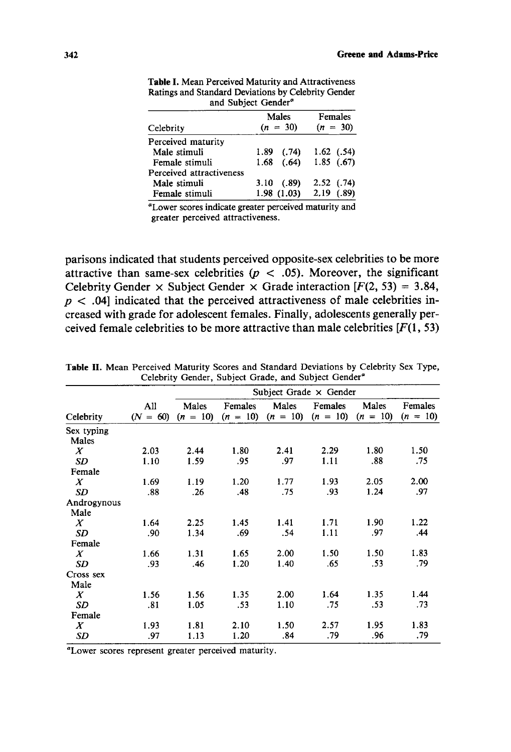|                          | Males         | Females      |
|--------------------------|---------------|--------------|
| Celebrity                | $(n = 30)$    | $(n = 30)$   |
| Perceived maturity       |               |              |
| Male stimuli             | 1.89<br>(.74) | $1.62$ (.54) |
| Female stimuli           | $1.68$ (.64)  | 1.85(67)     |
| Perceived attractiveness |               |              |
| Male stimuli             | 3.10(0.89)    | 2.52(0.74)   |
| Female stimuli           | 1.98(1.03)    | 2.19(0.89)   |

**Table** I. Mean Perceived Maturity and Attractiveness Ratings and Standard Deviations by Celebrity Gender and Subject Gender<sup>a</sup>

"Lower scores indicate greater perceived maturity and greater perceived attractiveness.

parisons indicated that students perceived opposite-sex celebrities to be more attractive than same-sex celebrities ( $p < .05$ ). Moreover, the significant Celebrity Gender  $\times$  Subject Gender  $\times$  Grade interaction [F(2, 53) = 3.84,  $p < .04$ ] indicated that the perceived attractiveness of male celebrities increased with grade for adolescent females. Finally, adolescents generally perceived female celebrities to be more attractive than male celebrities  $[F(1, 53)]$ 

|                     | Subject Grade $\times$ Gender |                     |         |                                           |         |                     |                       |  |  |
|---------------------|-------------------------------|---------------------|---------|-------------------------------------------|---------|---------------------|-----------------------|--|--|
| Celebrity           | All<br>$(N = 60)$             | Males<br>$(n = 10)$ | Females | Males<br>$(n = 10)$ $(n = 10)$ $(n = 10)$ | Females | Males<br>$(n = 10)$ | Females<br>$(n = 10)$ |  |  |
| Sex typing<br>Males |                               |                     |         |                                           |         |                     |                       |  |  |
| X                   | 2.03                          | 2.44                | 1.80    | 2.41                                      | 2.29    | 1.80                | 1.50                  |  |  |
| <b>SD</b>           | 1.10                          | 1.59                | .95     | .97                                       | 1.11    | .88                 | .75                   |  |  |
| Female              |                               |                     |         |                                           |         |                     |                       |  |  |
| $\boldsymbol{X}$    | 1.69                          | 1.19                | 1.20    | 1.77                                      | 1.93    | 2.05                | 2.00                  |  |  |
| SD                  | .88                           | .26                 | .48     | .75                                       | .93     | 1.24                | .97                   |  |  |
| Androgynous<br>Male |                               |                     |         |                                           |         |                     |                       |  |  |
| X                   | 1.64                          | 2.25                | 1.45    | 1.41                                      | 1.71    | 1.90                | 1.22                  |  |  |
| SD                  | .90                           | 1.34                | .69     | .54                                       | 1.11    | .97                 | .44                   |  |  |
| Female              |                               |                     |         |                                           |         |                     |                       |  |  |
| $\boldsymbol{X}$    | 1.66                          | 1.31                | 1.65    | 2.00                                      | 1.50    | 1.50                | 1.83                  |  |  |
| <b>SD</b>           | .93                           | .46                 | 1.20    | 1.40                                      | .65     | .53                 | .79                   |  |  |
| Cross sex<br>Male   |                               |                     |         |                                           |         |                     |                       |  |  |
| X                   | 1.56                          | 1.56                | 1.35    | 2.00                                      | 1.64    | 1.35                | 1.44                  |  |  |
| SD                  | .81                           | 1.05                | .53     | 1.10                                      | .75     | .53                 | .73                   |  |  |
| Female              |                               |                     |         |                                           |         |                     |                       |  |  |
| $\boldsymbol{X}$    | 1.93                          | 1.81                | 2.10    | 1.50                                      | 2.57    | 1.95                | 1.83                  |  |  |
| SD                  | .97                           | 1.13                | 1.20    | .84                                       | .79     | .96                 | .79                   |  |  |

**Table** 1I. Mean Perceived Maturity Scores and Standard Deviations by Celebrity Sex Type, Celebrity Gender, Subject Grade, and Subject Gender"

"Lower scores represent greater perceived maturity.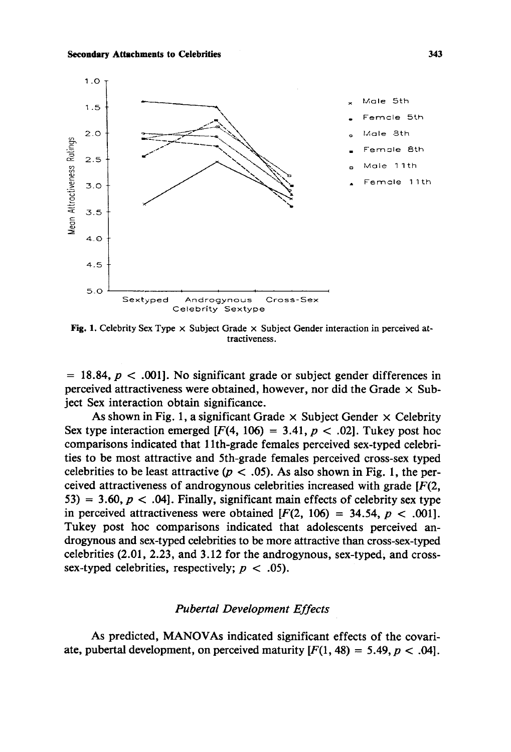

**Fig. 1. Celebrity Sex Type x Subject Grade x Subject Gender interaction in perceived attractiveness.** 

**= 18.84, p < .001]. No significant grade or subject gender differences in**  perceived attractiveness were obtained, however, nor did the Grade  $\times$  Sub**ject Sex interaction obtain significance.** 

As shown in Fig. 1, a significant Grade  $\times$  Subject Gender  $\times$  Celebrity Sex type interaction emerged  $[F(4, 106) = 3.41, p < .02]$ . Tukey post hoc **comparisons indicated that 1 lth-grade females perceived sex-typed celebrities to be most attractive and 5th-grade females perceived cross-sex typed**  celebrities to be least attractive  $(p < .05)$ . As also shown in Fig. 1, the per**ceived attractiveness of androgynous celebrities increased with grade [F(2,**  53) = 3.60,  $p < .04$ . Finally, significant main effects of celebrity sex type in perceived attractiveness were obtained  $[F(2, 106) = 34.54, p < .001]$ . **Tukey post hoc comparisons indicated that adolescents perceived androgynous and sex-typed celebrities to be more attractive than cross-sex-typed celebrities (2.01, 2.23, and 3.12 for the androgynous, sex-typed, and crosssex-typed celebrities, respectively; p < .05).** 

## *Pubertal Development Effects*

**As predicted, MANOVAs indicated significant effects of the covari**ate, pubertal development, on perceived maturity  $[F(1, 48) = 5.49, p < .04]$ .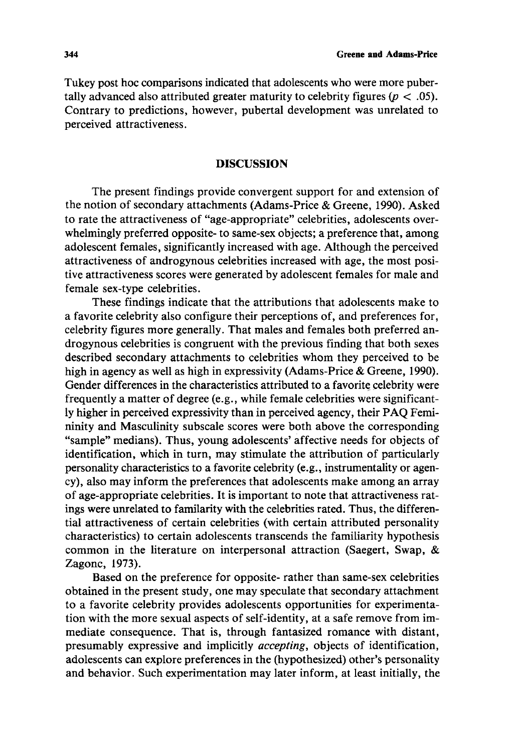Tukey post hoc comparisons indicated that adolescents who were more pubertally advanced also attributed greater maturity to celebrity figures ( $p < .05$ ). Contrary to predictions, however, pubertal development was unrelated to perceived attractiveness.

## DISCUSSION

The present findings provide convergent support for and extension of the notion of secondary attachments (Adams-Price & Greene, 1990). Asked to rate the attractiveness of "age-appropriate" celebrities, adolescents overwhelmingly preferred opposite- to same-sex objects; a preference that, among adolescent females, significantly increased with age. Although the perceived attractiveness of androgynous celebrities increased with age, the most positive attractiveness scores were generated by adolescent females for male and female sex-type celebrities.

These findings indicate that the attributions that adolescents make to a favorite celebrity also configure their perceptions of, and preferences for, celebrity figures more generally. That males and females both preferred androgynous celebrities is congruent with the previous finding that both sexes described secondary attachments to celebrities whom they perceived to be high in agency as well as high in expressivity (Adams-Price & Greene, 1990). Gender differences in the characteristics attributed to a favorite celebrity were frequently a matter of degree (e.g., while female celebrities were significantly higher in perceived expressivity than in perceived agency, their PAQ Femininity and Masculinity subscale scores were both above the corresponding "sample" medians). Thus, young adolescents' affective needs for objects of identification, which in turn, may stimulate the attribution of particularly personality characteristics to a favorite celebrity (e.g., instrumentality or agency), also may inform the preferences that adolescents make among an array of age-appropriate celebrities. It is important to note that attractiveness ratings were unrelated to familarity with the celebrities rated. Thus, the differential attractiveness of certain celebrities (with certain attributed personality characteristics) to certain adolescents transcends the familiarity hypothesis common in the literature on interpersonal attraction (Saegert, Swap, & Zagonc, 1973).

Based on the preference for opposite- rather than same-sex celebrities obtained in the present study, one may speculate that secondary attachment to a favorite celebrity provides adolescents opportunities for experimentation with the more sexual aspects of self-identity, at a safe remove from immediate consequence. That is, through fantasized romance with distant, presumably expressive and implicitly *accepting,* objects of identification, adolescents can explore preferences in the (hypothesized) other's personality and behavior. Such experimentation may later inform, at least initially, the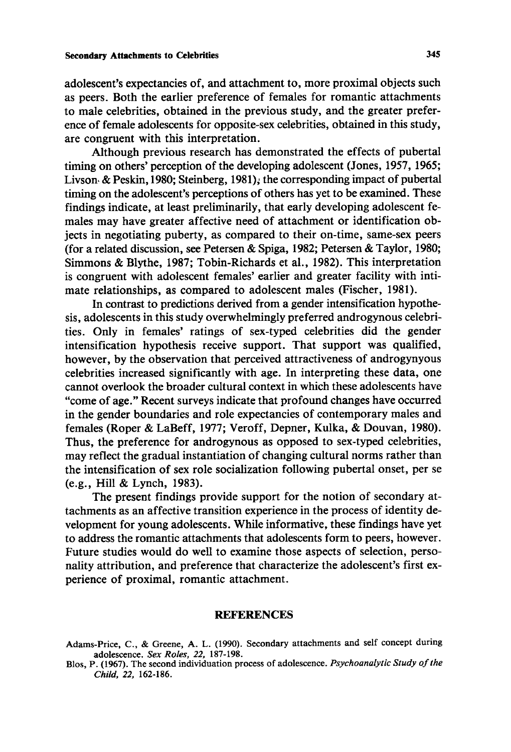adolescent's expectancies of, and attachment to, more proximal objects such as peers. Both the earlier preference of females for romantic attachments to male celebrities, obtained in the previous study, and the greater preference of female adolescents for opposite-sex celebrities, obtained in this study, are congruent with this interpretation.

Although previous research has demonstrated the effects of pubertal timing on others' perception of the developing adolescent (Jones, 1957, 1965; Livson~ & Peskin, 1980; Steinberg, 1981); the corresponding impact of pubertal timing on the adolescent's perceptions of others has yet to be examined. These findings indicate, at least preliminarily, that early developing adolescent females may have greater affective need of attachment or identification objects in negotiating puberty, as compared to their on-time, same-sex peers (for a related discussion, see Petersen & Spiga, 1982; Petersen & Taylor, 1980; Simmons & Blythe, 1987; Tobin-Richards et al., 1982). This interpretation is congruent with adolescent females' earlier and greater facility with intimate relationships, as compared to adolescent males (Fischer, 1981).

In contrast to predictions derived from a gender intensification hypothesis, adolescents in this study overwhelmingly preferred androgynous celebrities. Only in females' ratings of sex-typed celebrities did the gender intensification hypothesis receive support. That support was qualified, however, by the observation that perceived attractiveness of androgynyous celebrities increased significantly with age. In interpreting these data, one cannot overlook the broader cultural context in which these adolescents have "come of age." Recent surveys indicate that profound changes have occurred in the gender boundaries and role expectancies of contemporary males and females (Roper & LaBeff, 1977; Veroff, Depner, Kulka, & Douvan, 1980). Thus, the preference for androgynous as opposed to sex-typed celebrities, may reflect the gradual instantiation of changing cultural norms rather than the intensification of sex role socialization following pubertal onset, per se (e.g., Hill & Lynch, 1983).

The present findings provide support for the notion of secondary attachments as an affective transition experience in the process of identity development for young adolescents. While informative, these findings have yet to address the romantic attachments that adolescents form to peers, however. Future studies would do well to examine those aspects of selection, personality attribution, and preference that characterize the adolescent's first experience of proximal, romantic attachment.

#### REFERENCES

Adams-Price, C., & Greene, A. L. (1990). Secondary attachments and self concept during adolescence. *Sex Roles, 22,* 187-198.

Blos, P. (1967). The second individuation process of adolescence. *Psychoanalytic Study of the Child, 22,* 162-186.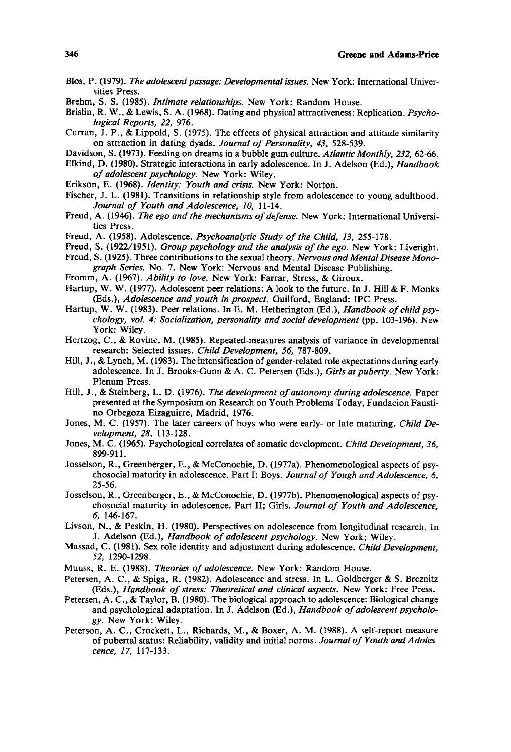- Blos, P. (1979). *The adolescent passage: Developmental issues.* New York: International Universities Press.
- Brehm, S. S. (1985). *Intimate relationships.* New York: Random House.
- Brislin, R. W., & Lewis, S. A. (1968). Dating and physical attractiveness: Replication. *Psychological Reports, 22,* 976.
- Curran, J. P., & Lippold, S. (1975). The effects of physical attraction and attitude similarity on attraction in dating dyads. *Journal of Personality, 43,* 528-539.
- Davidson, S. (1973). Feeding on dreams in a bubble gum culture. *Atlantic Monthly, 232,* 62-66.
- Elkind, D. (1980). Strategic interactions in early adolescence. In J. Adelson fEd.), *Handbook of adolescent psychology.* New York: Wiley.
- Erikson, E. (1968). *Identity: Youth and crisis.* New York: Norton.
- Fischer, J. L. (1981). Transitions in relationship style from adolescence to young adulthood. *Journal of Youth and Adolescence, 10,* 11-14.
- Freud, A. (1946). *The ego and the mechanisms of defense.* New York: International Universities Press.
- Freud, A. (1958). Adolescence. *Psychoanalytic Study of the Child, 13,* 255-178.
- Freud, S. (1922/1951). *Group psychology and the analysis of the ego.* New York: Liveright.
- Freud, S. (1925). Three contributions to the sexual theory. *Nervous and Mental Disease Monograph Series.* No. 7. New York: Nervous and Mental Disease Publishing.
- Fromm, A. (1967). *Ability to love.* New York: Farrar, Stress, & Giroux.
- Hartup, W. W. (1977). Adolescent peer relations: A look to the future. In J. Hill & F. Monks (Eds.), *Adolescence and youth in prospect.* Guilford, England: IPC Press.
- Hartup, W. W. (1983). Peer relations. In E. M. Hetherington fEd.), *Handbook of child psychology, vok 4: Socialization, personality and social development* (pp. 103-196). New York: Wiley.
- Hertzog, C., & Rovine, M. (1985). Repeated-measures analysis of variance in developmental research: Selected issues. *Child Development, 56,* 787-809.
- Hill, J., & Lynch, M. (1983). The intensification of gender-related role expectations during early adolescence. In J. Brooks-Gunn & A. C. Petersen (Eds.), *Girls atpuberty.* New York: Plenum Press.
- Hill, J., & Steinberg, L. D. (1976). *The development of autonomy during adolescence.* Paper presented at the Symposium on Research on Youth Problems Today, Fundacion Faustino Orbegoza Eizaguirre, Madrid, 1976.
- Jones, M. C. (1957). The later careers of boys who were early- or late maturing. *Child Development, 28,* 113-128.
- Jones, M. C. (1965). Psychological correlates of somatic development. *Child Development, 36,*  899-911.
- Josselson, R., Greenberger, E., & McConochie, D. (1977a). Phenomenological aspects of psychosocial maturity in adolescence. Part I: Boys. *Journal of Yough and Adolescence, 6,*  25-56.
- Josselson, R., Greenberger, E., & McConochie, D. (1977b). Phenomenological aspects of psychosocial maturity in adolescence. Part II; Girls. *Journal of Youth and Adolescence,*  6, 146-167.
- Livson, N., & Peskin, H. (1980). Perspectives on adolescence from longitudinal research. In J. Adelson (Ed.), *Handbook of adolescent psychology*. New York; Wiley.
- Massad, C. (1981). Sex role identity and adjustment during adolescence. *Child Development, 52,* 1290-1298.
- Muuss, R. E. (1988). *Theories of adolescence*. New York: Random House.
- Petersen, A. C., & Spiga, R. (1982). Adolescence and stress. In L. Goldberger & S. Breznitz (Eds.), *Handbook of stress: Theoretical and clinical aspects.* New York: Free Press.
- Petersen, A. C., & Taylor, B. (1980). The biological approach to adolescence: Biological change and psychological adaptation. In J. Adelson fed.), *Handbook of adolescent psychology.* New York: Wiley.
- Peterson, A. C., Crockett, L., Richards, M., & Boxer, A. M. (1988). A self-report measure of pubertal status: Reliability, validity and initial norms. *Journal of Youth and Adolescence, 17,* 117-133.